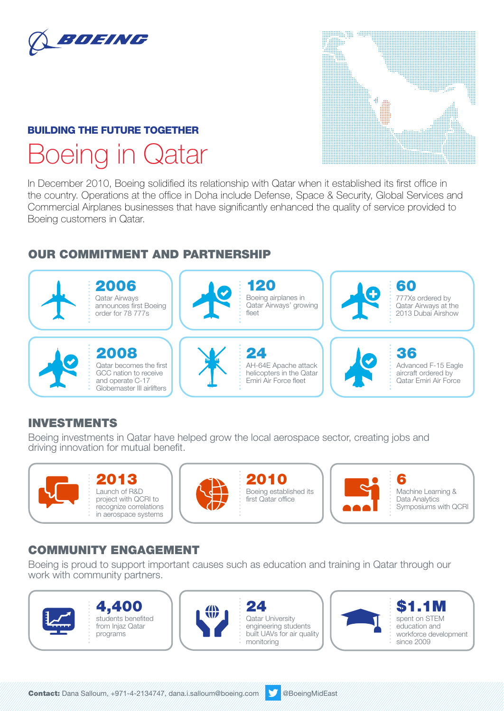

## BUILDING THE FUTURE TOGETHER Boeing in Qatar

# **MANA**

In December 2010, Boeing solidified its relationship with Qatar when it established its first office in the country. Operations at the office in Doha include Defense, Space & Security, Global Services and Commercial Airplanes businesses that have significantly enhanced the quality of service provided to Boeing customers in Qatar.

## OUR COMMITMENT AND PARTNERSHIP



## INVESTMENTS

Boeing investments in Qatar have helped grow the local aerospace sector, creating jobs and driving innovation for mutual benefit.







2010 Boeing established its first Qatar office



6 Machine Learning & Data Analytics Symposiums with QCRI

## COMMUNITY ENGAGEMENT

Boeing is proud to support important causes such as education and training in Qatar through our work with community partners.







24 Qatar University engineering students built UAVs for air quality monitoring